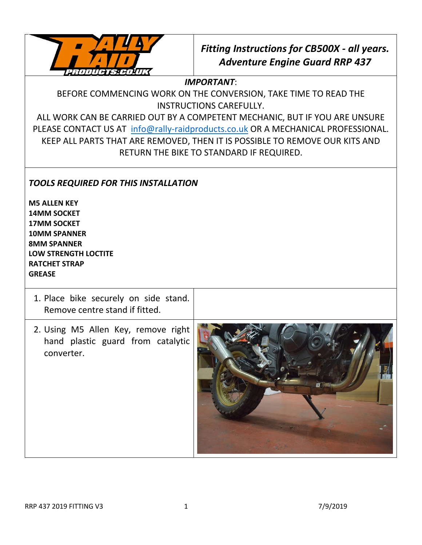

## *Fitting Instructions for CB500X - all years. Adventure Engine Guard RRP 437*

*IMPORTANT*:

BEFORE COMMENCING WORK ON THE CONVERSION, TAKE TIME TO READ THE INSTRUCTIONS CAREFULLY.

ALL WORK CAN BE CARRIED OUT BY A COMPETENT MECHANIC, BUT IF YOU ARE UNSURE PLEASE CONTACT US AT [info@rally-raidproducts.co.uk](mailto:info@rally-raidproducts.co.uk) OR A MECHANICAL PROFESSIONAL. KEEP ALL PARTS THAT ARE REMOVED, THEN IT IS POSSIBLE TO REMOVE OUR KITS AND RETURN THE BIKE TO STANDARD IF REQUIRED.

## *TOOLS REQUIRED FOR THIS INSTALLATION*

**M5 ALLEN KEY 14MM SOCKET 17MM SOCKET 10MM SPANNER 8MM SPANNER LOW STRENGTH LOCTITE RATCHET STRAP GREASE**

| 1. Place bike securely on side stand.<br>Remove centre stand if fitted.                |  |
|----------------------------------------------------------------------------------------|--|
| 2. Using M5 Allen Key, remove right<br>hand plastic guard from catalytic<br>converter. |  |

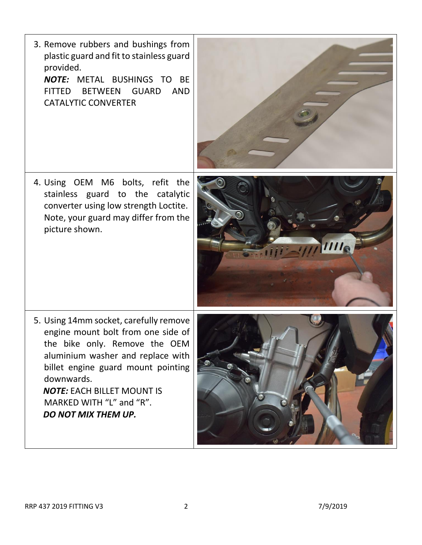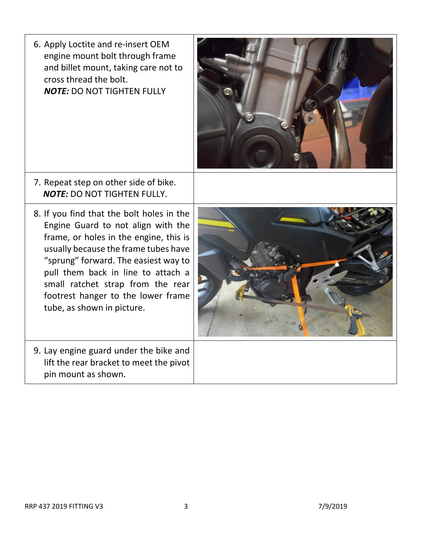6. Apply Loctite and re-insert OEM engine mount bolt through frame and billet mount, taking care not to cross thread the bolt. *NOTE:* DO NOT TIGHTEN FULLY



- 7. Repeat step on other side of bike. *NOTE:* DO NOT TIGHTEN FULLY.
- 8. If you find that the bolt holes in the Engine Guard to not align with the frame, or holes in the engine, this is usually because the frame tubes have "sprung" forward. The easiest way to pull them back in line to attach a small ratchet strap from the rear footrest hanger to the lower frame tube, as shown in picture.
- 9. Lay engine guard under the bike and lift the rear bracket to meet the pivot pin mount as shown.

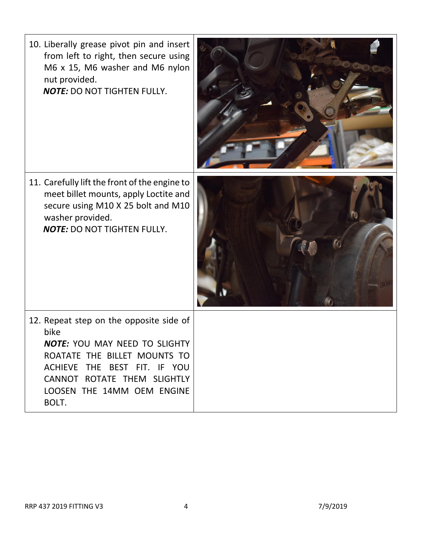| 10. Liberally grease pivot pin and insert<br>from left to right, then secure using<br>M6 x 15, M6 washer and M6 nylon<br>nut provided.<br><b>NOTE: DO NOT TIGHTEN FULLY.</b>                                           |  |
|------------------------------------------------------------------------------------------------------------------------------------------------------------------------------------------------------------------------|--|
| 11. Carefully lift the front of the engine to<br>meet billet mounts, apply Loctite and<br>secure using M10 X 25 bolt and M10<br>washer provided.<br><b>NOTE: DO NOT TIGHTEN FULLY.</b>                                 |  |
| 12. Repeat step on the opposite side of<br>bike<br>NOTE: YOU MAY NEED TO SLIGHTY<br>ROATATE THE BILLET MOUNTS TO<br>ACHIEVE THE BEST FIT. IF YOU<br>CANNOT ROTATE THEM SLIGHTLY<br>LOOSEN THE 14MM OEM ENGINE<br>BOLT. |  |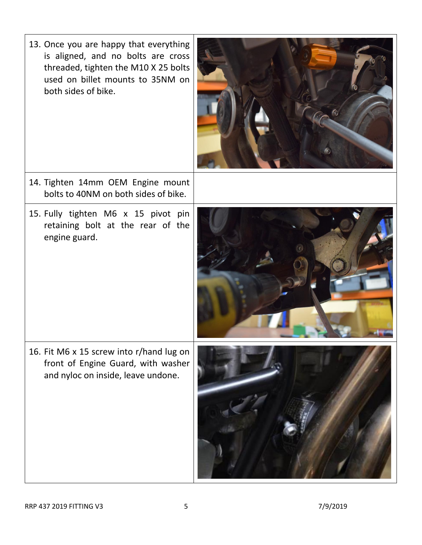13. Once you are happy that everything is aligned, and no bolts are cross threaded, tighten the M10 X 25 bolts used on billet mounts to 35NM on both sides of bike.



- 14. Tighten 14mm OEM Engine mount bolts to 40NM on both sides of bike.
- 15. Fully tighten M6 x 15 pivot pin retaining bolt at the rear of the engine guard.



16. Fit M6 x 15 screw into r/hand lug on front of Engine Guard, with washer and nyloc on inside, leave undone.